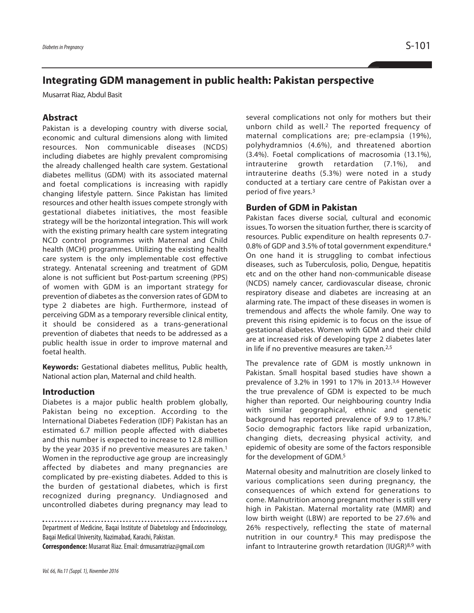# **Integrating GDM management in public health: Pakistan perspective**

Musarrat Riaz, Abdul Basit

### **Abstract**

Pakistan is a developing country with diverse social, economic and cultural dimensions along with limited resources. Non communicable diseases (NCDS) including diabetes are highly prevalent compromising the already challenged health care system. Gestational diabetes mellitus (GDM) with its associated maternal and foetal complications is increasing with rapidly changing lifestyle pattern. Since Pakistan has limited resources and other health issues compete strongly with gestational diabetes initiatives, the most feasible strategy will be the horizontal integration. This will work with the existing primary health care system integrating NCD control programmes with Maternal and Child health (MCH) programmes. Utilizing the existing health care system is the only implementable cost effective strategy. Antenatal screening and treatment of GDM alone is not sufficient but Post-partum screening (PPS) of women with GDM is an important strategy for prevention of diabetes as the conversion rates of GDM to type 2 diabetes are high. Furthermore, instead of perceiving GDM as a temporary reversible clinical entity, it should be considered as a trans-generational prevention of diabetes that needs to be addressed as a public health issue in order to improve maternal and foetal health.

**Keywords:** Gestational diabetes mellitus, Public health, National action plan, Maternal and child health.

#### **Introduction**

Diabetes is a major public health problem globally, Pakistan being no exception. According to the International Diabetes Federation (IDF) Pakistan has an estimated 6.7 million people affected with diabetes and this number is expected to increase to 12.8 million by the year 2035 if no preventive measures are taken. 1 Women in the reproductive age group are increasingly affected by diabetes and many pregnancies are complicated by pre-existing diabetes. Added to this is the burden of gestational diabetes, which is first recognized during pregnancy. Undiagnosed and uncontrolled diabetes during pregnancy may lead to

Department of Medicine, Baqai Institute of Diabetology and Endocrinology, Baqai Medical University, Nazimabad, Karachi, Pakistan.

**Correspondence:** Musarrat Riaz.Email:drmusarratriaz@gmail.com

several complications not only for mothers but their unborn child as well.2 The reported frequency of maternal complications are; pre-eclampsia (19%), polyhydramnios (4.6%), and threatened abortion (3.4%). Foetal complications of macrosomia (13.1%), intrauterine growth retardation (7.1%), and intrauterine deaths (5.3%) were noted in a study conducted at a tertiary care centre of Pakistan over a period of five years. 3

### **Burden of GDM in Pakistan**

Pakistan faces diverse social, cultural and economic issues. To worsen the situation further, there is scarcity of resources. Public expenditure on health represents 0.7- 0.8% of GDP and 3.5% of total government expenditure. 4 On one hand it is struggling to combat infectious diseases, such as Tuberculosis, polio, Dengue, hepatitis etc and on the other hand non-communicable disease (NCDS) namely cancer, cardiovascular disease, chronic respiratory disease and diabetes are increasing at an alarming rate. The impact of these diseases in women is tremendous and affects the whole family. One way to prevent this rising epidemic is to focus on the issue of gestational diabetes. Women with GDM and their child are at increased risk of developing type 2 diabetes later in life if no preventive measures are taken.<sup>2,5</sup>

The prevalence rate of GDM is mostly unknown in Pakistan. Small hospital based studies have shown a prevalence of 3.2% in 1991 to 17% in 2013. 3,6 However the true prevalence of GDM is expected to be much higher than reported. Our neighbouring country India with similar geographical, ethnic and genetic background has reported prevalence of 9.9 to 17.8%. 7 Socio demographic factors like rapid urbanization, changing diets, decreasing physical activity, and epidemic of obesity are some of the factors responsible for the development of GDM. 5

Maternal obesity and malnutrition are closely linked to various complications seen during pregnancy, the consequences of which extend for generations to come. Malnutrition among pregnant mother is still very high in Pakistan. Maternal mortality rate (MMR) and low birth weight (LBW) are reported to be 27.6% and 26% respectively, reflecting the state of maternal nutrition in our country. <sup>8</sup> This may predispose the infant to Intrauterine growth retardation (IUGR)8,9 with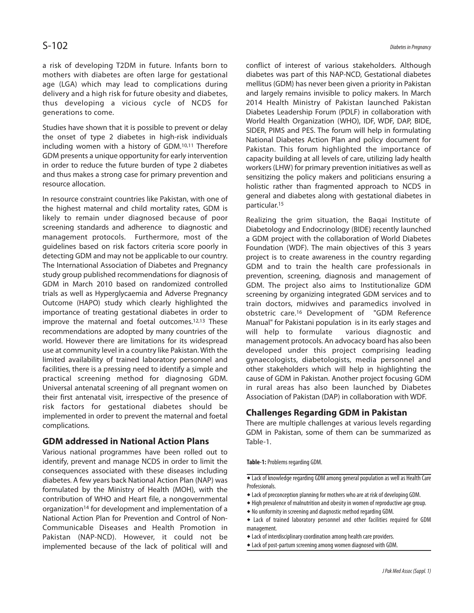a risk of developing T2DM in future. Infants born to mothers with diabetes are often large for gestational age (LGA) which may lead to complications during delivery and a high risk for future obesity and diabetes, thus developing a vicious cycle of NCDS for generations to come.

Studies have shown that it is possible to prevent or delay the onset of type 2 diabetes in high-risk individuals including women with a history of GDM. 10,11 Therefore GDM presents a unique opportunity for early intervention in order to reduce the future burden of type 2 diabetes and thus makes a strong case for primary prevention and resource allocation.

In resource constraint countries like Pakistan, with one of the highest maternal and child mortality rates, GDM is likely to remain under diagnosed because of poor screening standards and adherence to diagnostic and management protocols. Furthermore, most of the guidelines based on risk factors criteria score poorly in detecting GDM and may not be applicable to our country. The International Association of Diabetes and Pregnancy study group published recommendations for diagnosis of GDM in March 2010 based on randomized controlled trials as well as Hyperglycaemia and Adverse Pregnancy Outcome (HAPO) study which clearly highlighted the importance of treating gestational diabetes in order to improve the maternal and foetal outcomes. 12,13 These recommendations are adopted by many countries of the world. However there are limitations for its widespread use at community level in a country like Pakistan. With the limited availability of trained laboratory personnel and facilities, there is a pressing need to identify a simple and practical screening method for diagnosing GDM. Universal antenatal screening of all pregnant women on their first antenatal visit, irrespective of the presence of risk factors for gestational diabetes should be implemented in order to prevent the maternal and foetal complications.

### **GDM addressed in National Action Plans**

Various national programmes have been rolled out to identify, prevent and manage NCDS in order to limit the consequences associated with these diseases including diabetes. A few years back National Action Plan (NAP) was formulated by the Ministry of Health (MOH), with the contribution of WHO and Heart file, a nongovernmental organization14 for development and implementation of a National Action Plan for Prevention and Control of Non-Communicable Diseases and Health Promotion in Pakistan (NAP-NCD). However, it could not be implemented because of the lack of political will and

conflict of interest of various stakeholders. Although diabetes was part of this NAP-NCD, Gestational diabetes mellitus (GDM) has never been given a priority in Pakistan and largely remains invisible to policy makers. In March 2014 Health Ministry of Pakistan launched Pakistan Diabetes Leadership Forum (PDLF) in collaboration with World Health Organization (WHO), IDF, WDF, DAP, BIDE, SIDER, PIMS and PES. The forum will help in formulating National Diabetes Action Plan and policy document for Pakistan. This forum highlighted the importance of capacity building at all levels of care, utilizing lady health workers(LHW) for primary prevention initiatives as well as sensitizing the policy makers and politicians ensuring a holistic rather than fragmented approach to NCDS in general and diabetes along with gestational diabetes in particular. 15

Realizing the grim situation, the Baqai Institute of Diabetology and Endocrinology (BIDE) recently launched a GDM project with the collaboration of World Diabetes Foundation (WDF). The main objectives of this 3 years project is to create awareness in the country regarding GDM and to train the health care professionals in prevention, screening, diagnosis and management of GDM. The project also aims to Institutionalize GDM screening by organizing integrated GDM services and to train doctors, midwives and paramedics involved in obstetric care. <sup>16</sup> Development of "GDM Reference Manual" for Pakistani population is in its early stages and will help to formulate various diagnostic and management protocols. An advocacy board has also been developed under this project comprising leading gynaecologists, diabetologists, media personnel and other stakeholders which will help in highlighting the cause of GDM in Pakistan. Another project focusing GDM in rural areas has also been launched by Diabetes Association of Pakistan (DAP) in collaboration with WDF.

## **Challenges Regarding GDM in Pakistan**

There are multiple challenges at various levels regarding GDM in Pakistan, some of them can be summarized as Table-1.

**Table-1:**Problems regarding GDM.

- $\triangleq$  Lack of preconception planning for mothers who are at risk of developing GDM.
- $\bullet$  High prevalence of malnutrition and obesity in women of reproductive age group.
- $\bullet$  No uniformity in screening and diagnostic method regarding GDM.
- Lack of trained laboratory personnel and other facilities required for GDM management.
- $\bullet$  Lack of interdisciplinary coordination among health care providers.
- $\bullet$  Lack of post-partum screening among women diagnosed with GDM.

 $\overline{\bullet}$  Lack of knowledge regarding GDM among general population as well as Health Care Professionals.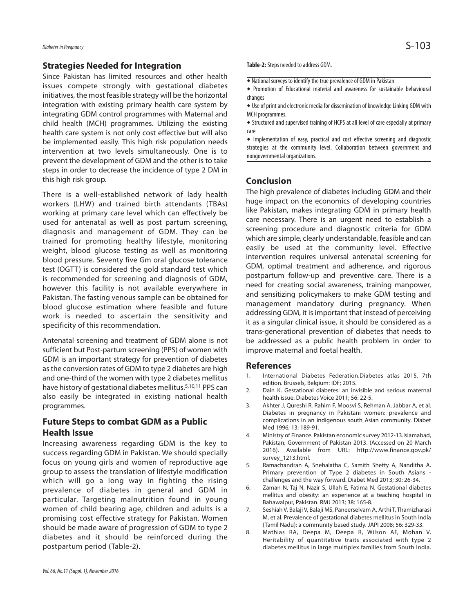#### **Strategies Needed for Integration**

Since Pakistan has limited resources and other health issues compete strongly with gestational diabetes initiatives, the most feasible strategy will be the horizontal integration with existing primary health care system by integrating GDM control programmes with Maternal and child health (MCH) programmes. Utilizing the existing health care system is not only cost effective but will also be implemented easily. This high risk population needs intervention at two levels simultaneously. One is to prevent the development of GDM and the other is to take steps in order to decrease the incidence of type 2 DM in this high risk group.

There is a well-established network of lady health workers (LHW) and trained birth attendants (TBAs) working at primary care level which can effectively be used for antenatal as well as post partum screening, diagnosis and management of GDM. They can be trained for promoting healthy lifestyle, monitoring weight, blood glucose testing as well as monitoring blood pressure. Seventy five Gm oral glucose tolerance test (OGTT) is considered the gold standard test which is recommended for screening and diagnosis of GDM, however this facility is not available everywhere in Pakistan. The fasting venous sample can be obtained for blood glucose estimation where feasible and future work is needed to ascertain the sensitivity and specificity of this recommendation.

Antenatal screening and treatment of GDM alone is not sufficient but Post-partum screening (PPS) of women with GDM is an important strategy for prevention of diabetes asthe conversion rates of GDM to type 2 diabetes are high and one-third of the women with type 2 diabetes mellitus have history of gestational diabetes mellitus. 5,10,11 PPS can also easily be integrated in existing national health programmes.

# **Future Steps to combat GDM as a Public Health Issue**

Increasing awareness regarding GDM is the key to success regarding GDM in Pakistan. We should specially focus on young girls and women of reproductive age group to assess the translation of lifestyle modification which will go a long way in fighting the rising prevalence of diabetes in general and GDM in particular. Targeting malnutrition found in young women of child bearing age, children and adults is a promising cost effective strategy for Pakistan. Women should be made aware of progression of GDM to type 2 diabetes and it should be reinforced during the postpartum period (Table-2).

Table-2: Steps needed to address GDM.

- $\overline{\bullet}$  National surveys to identify the true prevalence of GDM in Pakistan
- Promotion of Educational material and awareness for sustainable behavioural changes
- ◆ Use of print and electronic media for dissemination of knowledge Linking GDM with MCH programmes.
- Structured and supervised training of HCPS at all level of care especially at primary care

 Implementation of easy, practical and cost effective screening and diagnostic strategies at the community level. Collaboration between government and nongovernmental organizations.

## **Conclusion**

The high prevalence of diabetes including GDM and their huge impact on the economics of developing countries like Pakistan, makes integrating GDM in primary health care necessary. There is an urgent need to establish a screening procedure and diagnostic criteria for GDM which are simple, clearly understandable, feasible and can easily be used at the community level. Effective intervention requires universal antenatal screening for GDM, optimal treatment and adherence, and rigorous postpartum follow-up and preventive care. There is a need for creating social awareness, training manpower, and sensitizing policymakers to make GDM testing and management mandatory during pregnancy. When addressing GDM, it is important that instead of perceiving it as a singular clinical issue, it should be considered as a trans-generational prevention of diabetes that needs to be addressed as a public health problem in order to improve maternal and foetal health.

#### **References**

- 1. International Diabetes Federation.Diabetes atlas 2015. 7th edition. Brussels, Belgium: IDF; 2015.
- 2. Dain K. Gestational diabetes: an invisible and serious maternal health issue. Diabetes Voice 2011; 56: 22-5.
- 3. Akhter J, Qureshi R, Rahim F, Moosvi S, Rehman A, Jabbar A, et al. Diabetes in pregnancy in Pakistani women: prevalence and complications in an indigenous south Asian community. Diabet Med 1996; 13: 189-91.
- 4. Ministry of Finance. Pakistan economic survey 2012-13.Islamabad, Pakistan; Government of Pakistan 2013. (Accessed on 20 March 2016). Available from URL: http://www.finance.gov.pk/ survey\_1213.html.
- 5. Ramachandran A, Snehalatha C, Samith Shetty A, Nanditha A. Primary prevention of Type 2 diabetes in South Asians challenges and the way forward. Diabet Med 2013; 30: 26-34.
- 6. Zaman N, Taj N, Nazir S, Ullah E, Fatima N. Gestational diabetes mellitus and obesity: an experience at a teaching hospital in Bahawalpur, Pakistan. RMJ 2013; 38: 165-8.
- 7. Seshiah V, Balaji V, Balaji MS, Paneerselvam A, Arthi T, Thamizharasi M, et al. Prevalence of gestational diabetes mellitus in South India (Tamil Nadu): a community based study. JAPI 2008; 56: 329-33.
- 8. Mathias RA, Deepa M, Deepa R, Wilson AF, Mohan V. Heritability of quantitative traits associated with type 2 diabetes mellitus in large multiplex families from South India.